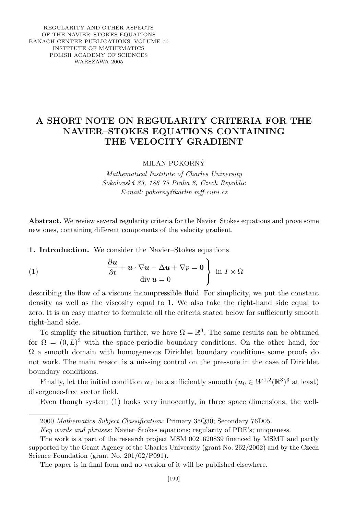REGULARITY AND OTHER ASPECTS OF THE NAVIER–STOKES EQUATIONS BANACH CENTER PUBLICATIONS, VOLUME 70 INSTITUTE OF MATHEMATICS POLISH ACADEMY OF SCIENCES WARSZAWA 2005

## A SHORT NOTE ON REGULARITY CRITERIA FOR THE NAVIER–STOKES EQUATIONS CONTAINING THE VELOCITY GRADIENT

MILAN POKORNY´

Mathematical Institute of Charles University Sokolovsk´a 83, 186 75 Praha 8, Czech Republic E-mail: pokorny@karlin.mff.cuni.cz

Abstract. We review several regularity criteria for the Navier–Stokes equations and prove some new ones, containing different components of the velocity gradient.

1. Introduction. We consider the Navier–Stokes equations

(1) 
$$
\frac{\partial \boldsymbol{u}}{\partial t} + \boldsymbol{u} \cdot \nabla \boldsymbol{u} - \Delta \boldsymbol{u} + \nabla p = \boldsymbol{0} \left\{ \text{ in } I \times \Omega \right\}
$$

describing the flow of a viscous incompressible fluid. For simplicity, we put the constant density as well as the viscosity equal to 1. We also take the right-hand side equal to zero. It is an easy matter to formulate all the criteria stated below for sufficiently smooth right-hand side.

To simplify the situation further, we have  $\Omega = \mathbb{R}^3$ . The same results can be obtained for  $\Omega = (0, L)^3$  with the space-periodic boundary conditions. On the other hand, for  $\Omega$  a smooth domain with homogeneous Dirichlet boundary conditions some proofs do not work. The main reason is a missing control on the pressure in the case of Dirichlet boundary conditions.

Finally, let the initial condition  $u_0$  be a sufficiently smooth  $(u_0 \in W^{1,2}(\mathbb{R}^3)^3$  at least) divergence-free vector field.

Even though system (1) looks very innocently, in three space dimensions, the well-

<sup>2000</sup> Mathematics Subject Classification: Primary 35Q30; Secondary 76D05.

Key words and phrases: Navier–Stokes equations; regularity of PDE's; uniqueness.

The work is a part of the research project MSM 0021620839 financed by MSMT and partly supported by the Grant Agency of the Charles University (grant No. 262/2002) and by the Czech Science Foundation (grant No. 201/02/P091).

The paper is in final form and no version of it will be published elsewhere.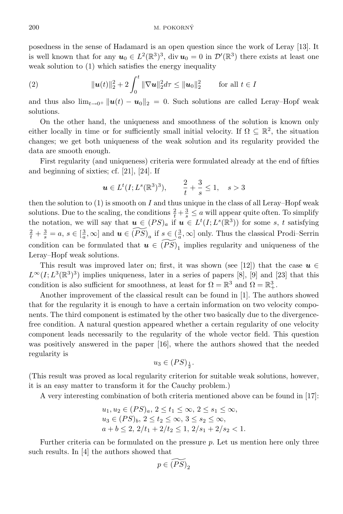posedness in the sense of Hadamard is an open question since the work of Leray [13]. It is well known that for any  $u_0 \in L^2(\mathbb{R}^3)^3$ , div  $u_0 = 0$  in  $\mathcal{D}'(\mathbb{R}^3)$  there exists at least one weak solution to (1) which satisfies the energy inequality

(2) 
$$
\|\mathbf{u}(t)\|_{2}^{2}+2\int_{0}^{t}\|\nabla\mathbf{u}\|_{2}^{2}d\tau\leq\|\mathbf{u}_{0}\|_{2}^{2} \quad \text{for all } t\in I
$$

and thus also  $\lim_{t\to 0^+} ||u(t) - u_0||_2 = 0$ . Such solutions are called Leray–Hopf weak solutions.

On the other hand, the uniqueness and smoothness of the solution is known only either locally in time or for sufficiently small initial velocity. If  $\Omega \subseteq \mathbb{R}^2$ , the situation changes; we get both uniqueness of the weak solution and its regularity provided the data are smooth enough.

First regularity (and uniqueness) criteria were formulated already at the end of fifties and beginning of sixties; cf. [21], [24]. If

$$
\mathbf{u} \in L^t(I; L^s(\mathbb{R}^3)^3), \qquad \frac{2}{t} + \frac{3}{s} \le 1, \quad s > 3
$$

then the solution to  $(1)$  is smooth on I and thus unique in the class of all Leray–Hopf weak solutions. Due to the scaling, the conditions  $\frac{2}{t} + \frac{3}{s} \le a$  will appear quite often. To simplify the notation, we will say that  $u \in (PS)_a$  if  $u \in L^t(I; L^s(\mathbb{R}^3))$  for some s, t satisfying  $\frac{2}{t} + \frac{3}{s} = a, s \in [\frac{3}{a}, \infty]$  and  $u \in \widetilde{(PS)}_a$  if  $s \in (\frac{3}{a}, \infty]$  only. Thus the classical Prodi–Serrin condition can be formulated that  $u \in \widetilde{(PS)}_1$  implies regularity and uniqueness of the Leray–Hopf weak solutions.

This result was improved later on; first, it was shown (see [12]) that the case  $u \in$  $L^{\infty}(I; L^{3}(\mathbb{R}^{3})^{3})$  implies uniqueness, later in a series of papers [8], [9] and [23] that this condition is also sufficient for smoothness, at least for  $\Omega = \mathbb{R}^3$  and  $\Omega = \mathbb{R}^3_+$ .

Another improvement of the classical result can be found in [1]. The authors showed that for the regularity it is enough to have a certain information on two velocity components. The third component is estimated by the other two basically due to the divergencefree condition. A natural question appeared whether a certain regularity of one velocity component leads necessarily to the regularity of the whole vector field. This question was positively answered in the paper [16], where the authors showed that the needed regularity is

$$
u_3\in (PS)_{\frac{1}{2}}.
$$

(This result was proved as local regularity criterion for suitable weak solutions, however, it is an easy matter to transform it for the Cauchy problem.)

A very interesting combination of both criteria mentioned above can be found in [17]:

$$
u_1, u_2 \in (PS)_a, 2 \le t_1 \le \infty, 2 \le s_1 \le \infty,
$$
  
\n
$$
u_3 \in (PS)_b, 2 \le t_2 \le \infty, 3 \le s_2 \le \infty,
$$
  
\n
$$
a + b \le 2, 2/t_1 + 2/t_2 \le 1, 2/s_1 + 2/s_2 < 1.
$$

Further criteria can be formulated on the pressure p. Let us mention here only three such results. In [4] the authors showed that

$$
p\in \widetilde{(PS)}_2
$$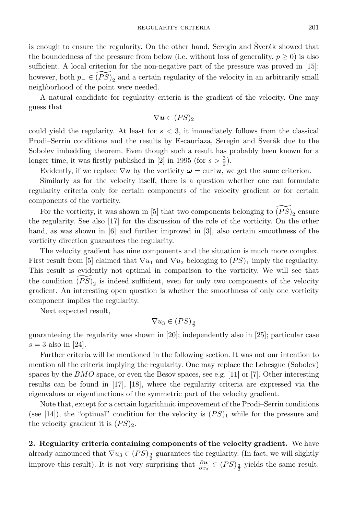is enough to ensure the regularity. On the other hand, Seregin and Šverák showed that the boundedness of the pressure from below (i.e. without loss of generality,  $p \geq 0$ ) is also sufficient. A local criterion for the non-negative part of the pressure was proved in [15]; however, both  $p_-\in \widetilde{(PS)}_2$  and a certain regularity of the velocity in an arbitrarily small neighborhood of the point were needed.

A natural candidate for regularity criteria is the gradient of the velocity. One may guess that

$$
\nabla \boldsymbol{u} \in (PS)_2
$$

could yield the regularity. At least for  $s < 3$ , it immediately follows from the classical Prodi–Serrin conditions and the results by Escauriaza, Seregin and Sverák due to the Sobolev imbedding theorem. Even though such a result has probably been known for a longer time, it was firstly published in [2] in 1995 (for  $s > \frac{3}{2}$ ).

Evidently, if we replace  $\nabla u$  by the vorticity  $\omega = \text{curl } u$ , we get the same criterion.

Similarly as for the velocity itself, there is a question whether one can formulate regularity criteria only for certain components of the velocity gradient or for certain components of the vorticity.

For the vorticity, it was shown in [5] that two components belonging to  $\widetilde{(PS)}_2$  ensure the regularity. See also [17] for the discussion of the role of the vorticity. On the other hand, as was shown in [6] and further improved in [3], also certain smoothness of the vorticity direction guarantees the regularity.

The velocity gradient has nine components and the situation is much more complex. First result from [5] claimed that  $\nabla u_1$  and  $\nabla u_2$  belonging to  $(PS)_1$  imply the regularity. This result is evidently not optimal in comparison to the vorticity. We will see that the condition  $\widetilde{(PS)}_2$  is indeed sufficient, even for only two components of the velocity gradient. An interesting open question is whether the smoothness of only one vorticity component implies the regularity.

Next expected result,

$$
\nabla u_3 \in (PS)_{\frac{3}{2}}
$$

guaranteeing the regularity was shown in [20]; independently also in [25]; particular case  $s = 3$  also in [24].

Further criteria will be mentioned in the following section. It was not our intention to mention all the criteria implying the regularity. One may replace the Lebesgue (Sobolev) spaces by the  $BMO$  space, or even the Besov spaces, see e.g. [11] or [7]. Other interesting results can be found in [17], [18], where the regularity criteria are expressed via the eigenvalues or eigenfunctions of the symmetric part of the velocity gradient.

Note that, except for a certain logarithmic improvement of the Prodi–Serrin conditions (see [14]), the "optimal" condition for the velocity is  $(PS)_1$  while for the pressure and the velocity gradient it is  $(PS)_2$ .

2. Regularity criteria containing components of the velocity gradient. We have already announced that  $\nabla u_3 \in (PS)^3$  guarantees the regularity. (In fact, we will slightly improve this result). It is not very surprising that  $\frac{\partial u}{\partial x_3} \in (PS)_{\frac{3}{2}}$  yields the same result.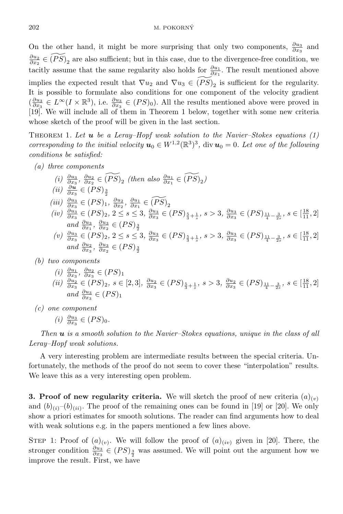On the other hand, it might be more surprising that only two components,  $\frac{\partial u_3}{\partial x_3}$  and  $\frac{\partial u_2}{\partial x_2} \in \widetilde{(PS)}_2$  are also sufficient; but in this case, due to the divergence-free condition, we tacitly assume that the same regularity also holds for  $\frac{\partial u_1}{\partial x_1}$ . The result mentioned above implies the expected result that  $\nabla u_2$  and  $\nabla u_3 \in \widetilde{(PS)}_2$  is sufficient for the regularity. It is possible to formulate also conditions for one component of the velocity gradient  $(\frac{\partial u_3}{\partial x_3} \in L^\infty(I \times \mathbb{R}^3), \text{ i.e. } \frac{\partial u_3}{\partial x_3} \in (PS)_0).$  All the results mentioned above were proved in [19]. We will include all of them in Theorem 1 below, together with some new criteria whose sketch of the proof will be given in the last section.

THEOREM 1. Let  $u$  be a Leray–Hopf weak solution to the Navier–Stokes equations  $(1)$ corresponding to the initial velocity  $u_0 \in W^{1,2}(\mathbb{R}^3)^3$ , div  $u_0 = 0$ . Let one of the following conditions be satisfied:

- (a) three components
	- $(i) \frac{\partial u_3}{\partial x_3}, \frac{\partial u_2}{\partial x_2} \in \widetilde{(PS)}_2$  (then also  $\frac{\partial u_1}{\partial x_1} \in \widetilde{(PS)}_2$ )  $(ii) \frac{\partial u}{\partial x_3} \in (PS)_{\frac{3}{2}}$ (iii)  $\frac{\partial u_3}{\partial x_3}$  ∈ (PS)<sub>1</sub>,  $\frac{\partial u_2}{\partial x_2}$ ,  $\frac{\partial u_1}{\partial x_1}$  ∈ (PS)<sub>2</sub><br>(iv)  $\frac{\partial u_3}{\partial x_3}$  ∈ (PS)<sub>2</sub>, 2 ≤ s ≤ 3,  $\frac{\partial u_3}{\partial x_3}$  ∈ (PS)<sub> $\frac{5}{3} + \frac{1}{s}$ </sub>, s > 3,  $\frac{\partial u_3}{\partial x_3}$  ∈ (PS)<sub>11</sub><sub>-2</sub><sup>3</sup><sub>2</sub>, s ∈ [<sup>1</sup> and  $\frac{\partial u_3}{\partial x_1}$ ,  $\frac{\partial u_3}{\partial x_2} \in (PS)_{\frac{3}{2}}$ <br>
	(v)  $\frac{\partial u_3}{\partial x_3} \in (PS)_2$ ,  $2 \le s \le 3$ ,  $\frac{\partial u_3}{\partial x_3} \in (PS)_{\frac{5}{3} + \frac{1}{s}}$ ,  $s > 3$ ,  $\frac{\partial u_3}{\partial x_3} \in (PS)_{\frac{11}{4} - \frac{3}{2s}}$ ,  $s \in [\frac{18}{11}, 2]$
	- and  $\frac{\partial u_2}{\partial x_3}$ ,  $\frac{\partial u_3}{\partial x_2} \in (PS)_{\frac{3}{2}}$
- (b) two components
	- $(i) \frac{\partial u_1}{\partial x_3}, \frac{\partial u_2}{\partial x_3} \in (PS)_1$ (ii)  $\frac{\partial u_2}{\partial x_3}$  ∈ (PS)<sub>2</sub>, s ∈ [2, 3],  $\frac{\partial u_2}{\partial x_3}$  ∈ (PS)<sub> $\frac{5}{3}$ +</sub><sup>1</sup><sub>3</sub>, s > 3,  $\frac{\partial u_2}{\partial x_3}$  ∈ (PS)<sub> $\frac{11}{4}$ - $\frac{3}{2s}$ , s ∈ [ $\frac{18}{11}$ , 2]</sub> and  $\frac{\partial u_3}{\partial x_3} \in (PS)_1$
- (c) one component

$$
(i) \frac{\partial u_3}{\partial x_3} \in (PS)_0.
$$

Then  $u$  is a smooth solution to the Navier–Stokes equations, unique in the class of all Leray–Hopf weak solutions.

A very interesting problem are intermediate results between the special criteria. Unfortunately, the methods of the proof do not seem to cover these "interpolation" results. We leave this as a very interesting open problem.

**3. Proof of new regularity criteria.** We will sketch the proof of new criteria  $(a)_{(v)}$ and  $(b)_{(i)}(b)_{(ii)}$ . The proof of the remaining ones can be found in [19] or [20]. We only show a priori estimates for smooth solutions. The reader can find arguments how to deal with weak solutions e.g. in the papers mentioned a few lines above.

STEP 1: Proof of  $(a)_{(v)}$ . We will follow the proof of  $(a)_{(iv)}$  given in [20]. There, the stronger condition  $\frac{\partial u_3}{\partial x_3} \in (PS)_{\frac{3}{2}}$  was assumed. We will point out the argument how we improve the result. First, we have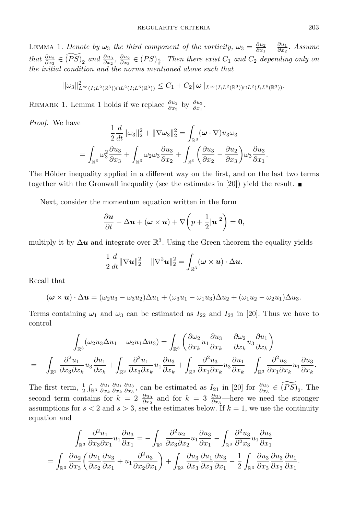LEMMA 1. Denote by  $\omega_3$  the third component of the vorticity,  $\omega_3 = \frac{\partial u_2}{\partial x_1} - \frac{\partial u_1}{\partial x_2}$ . Assume that  $\frac{\partial u_3}{\partial x_3} \in \widetilde{(PS)}_2$  and  $\frac{\partial u_3}{\partial x_2}, \frac{\partial u_2}{\partial x_3} \in (PS)_{\frac{3}{2}}$ . Then there exist  $C_1$  and  $C_2$  depending only on the initial condition and the norms mentioned above such that

$$
\|\omega_3\|_{L^\infty(I;L^2(\mathbb{R}^3))\cap L^2(I;L^6(\mathbb{R}^3))}\leq C_1+C_2\|\boldsymbol{\omega}\|_{L^\infty(I;L^2(\mathbb{R}^3))\cap L^2(I;L^6(\mathbb{R}^3))}.
$$

REMARK 1. Lemma 1 holds if we replace  $\frac{\partial u_2}{\partial x_3}$  by  $\frac{\partial u_3}{\partial x_1}$ .

Proof. We have

$$
\frac{1}{2}\frac{d}{dt}\|\omega_3\|_2^2 + \|\nabla\omega_3\|_2^2 = \int_{\mathbb{R}^3} (\omega \cdot \nabla)u_3\omega_3
$$

$$
= \int_{\mathbb{R}^3} \omega_3^2 \frac{\partial u_3}{\partial x_3} + \int_{\mathbb{R}^3} \omega_2 \omega_3 \frac{\partial u_3}{\partial x_2} + \int_{\mathbb{R}^3} \left(\frac{\partial u_3}{\partial x_2} - \frac{\partial u_2}{\partial x_3}\right) \omega_3 \frac{\partial u_3}{\partial x_1}.
$$

The Hölder inequality applied in a different way on the first, and on the last two terms together with the Gronwall inequality (see the estimates in [20]) yield the result.

Next, consider the momentum equation written in the form

$$
\frac{\partial \boldsymbol{u}}{\partial t} - \Delta \boldsymbol{u} + (\boldsymbol{\omega} \times \boldsymbol{u}) + \nabla \bigg(p + \frac{1}{2}|\boldsymbol{u}|^2\bigg) = \mathbf{0},
$$

multiply it by  $\Delta u$  and integrate over  $\mathbb{R}^3$ . Using the Green theorem the equality yields

$$
\frac{1}{2}\frac{d}{dt}\|\nabla \boldsymbol{u}\|_2^2 + \|\nabla^2 \boldsymbol{u}\|_2^2 = \int_{\mathbb{R}^3} (\boldsymbol{\omega}\times \boldsymbol{u}) \cdot \Delta \boldsymbol{u}.
$$

Recall that

$$
(\boldsymbol{\omega}\times\boldsymbol{u})\cdot\Delta\boldsymbol{u}=(\omega_2u_3-\omega_3u_2)\Delta u_1+(\omega_3u_1-\omega_1u_3)\Delta u_2+(\omega_1u_2-\omega_2u_1)\Delta u_3.
$$

Terms containing  $\omega_1$  and  $\omega_3$  can be estimated as  $I_{22}$  and  $I_{23}$  in [20]. Thus we have to control

$$
\int_{\mathbb{R}^3} (\omega_2 u_3 \Delta u_1 - \omega_2 u_1 \Delta u_3) = \int_{\mathbb{R}^3} \left( \frac{\partial \omega_2}{\partial x_k} u_1 \frac{\partial u_3}{\partial x_k} - \frac{\partial \omega_2}{\partial x_k} u_3 \frac{\partial u_1}{\partial x_k} \right)
$$
  
= 
$$
- \int_{\mathbb{R}^3} \frac{\partial^2 u_1}{\partial x_3 \partial x_k} u_3 \frac{\partial u_1}{\partial x_k} + \int_{\mathbb{R}^3} \frac{\partial^2 u_1}{\partial x_3 \partial x_k} u_1 \frac{\partial u_3}{\partial x_k} + \int_{\mathbb{R}^3} \frac{\partial^2 u_3}{\partial x_1 \partial x_k} u_3 \frac{\partial u_1}{\partial x_k} - \int_{\mathbb{R}^3} \frac{\partial^2 u_3}{\partial x_1 \partial x_k} u_1 \frac{\partial u_3}{\partial x_k}.
$$

The first term,  $\frac{1}{2} \int_{\mathbb{R}^3} \frac{\partial u_1}{\partial x_k} \frac{\partial u_1}{\partial x_k} \frac{\partial u_3}{\partial x_3}$ , can be estimated as  $I_{21}$  in [20] for  $\frac{\partial u_3}{\partial x_3} \in \widetilde{(PS)}_2$ . The second term contains for  $k = 2 \frac{\partial u_3}{\partial x_2}$  and for  $k = 3 \frac{\partial u_3}{\partial x_3}$ —here we need the stronger assumptions for  $s < 2$  and  $s > 3$ , see the estimates below. If  $k = 1$ , we use the continuity equation and

$$
\int_{\mathbb{R}^3} \frac{\partial^2 u_1}{\partial x_3 \partial x_1} u_1 \frac{\partial u_3}{\partial x_1} = -\int_{\mathbb{R}^3} \frac{\partial^2 u_2}{\partial x_3 \partial x_2} u_1 \frac{\partial u_3}{\partial x_1} - \int_{\mathbb{R}^3} \frac{\partial^2 u_3}{\partial^2 x_3} u_1 \frac{\partial u_3}{\partial x_1}
$$

$$
= \int_{\mathbb{R}^3} \frac{\partial u_2}{\partial x_3} \left( \frac{\partial u_1}{\partial x_2} \frac{\partial u_3}{\partial x_1} + u_1 \frac{\partial^2 u_3}{\partial x_2 \partial x_1} \right) + \int_{\mathbb{R}^3} \frac{\partial u_3}{\partial x_3} \frac{\partial u_1}{\partial x_3} \frac{\partial u_3}{\partial x_1} - \frac{1}{2} \int_{\mathbb{R}^3} \frac{\partial u_3}{\partial x_3} \frac{\partial u_3}{\partial x_3} \frac{\partial u_1}{\partial x_1}.
$$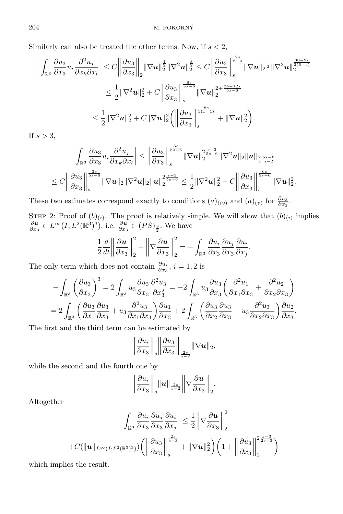Similarly can also be treated the other terms. Now, if  $s < 2$ ,

$$
\left| \int_{\mathbb{R}^3} \frac{\partial u_3}{\partial x_3} u_i \frac{\partial^2 u_j}{\partial x_k \partial x_l} \right| \leq C \left\| \frac{\partial u_3}{\partial x_3} \right\|_2 \|\nabla u\|_2^{\frac{1}{2}} \|\nabla^2 u\|_2^{\frac{3}{2}} \leq C \left\| \frac{\partial u_3}{\partial x_3} \right\|_s^{\frac{2s}{6-s}} \|\nabla u\|_2^{\frac{1}{2}} \|\nabla^2 u\|_2^{\frac{3(0-9s)}{2(6-s)}} \n\leq \frac{1}{2} \|\nabla^2 u\|_2^2 + C \left\| \frac{\partial u_3}{\partial x_3} \right\|_s^{\frac{8s}{6s-6}} \|\nabla u\|_2^{\frac{2+34-12s}{5s-6}} \n\leq \frac{1}{2} \|\nabla^2 u\|_2^2 + C \|\nabla u\|_2^2 \left( \left\| \frac{\partial u_3}{\partial x_3} \right\|_s^{\frac{8s}{11s-18}} + \|\nabla u\|_2^2 \right).
$$

If  $s > 3$ ,

$$
\left|\int_{\mathbb{R}^3} \frac{\partial u_3}{\partial x_3} u_i \frac{\partial^2 u_j}{\partial x_k \partial x_l} \right| \leq \left\| \frac{\partial u_3}{\partial x_3} \right\|_s^{\frac{3s}{5s-6}} \|\nabla u\|_2^{2\frac{s-3}{5s-6}} \|\nabla^2 u\|_2 \|u\|_{\frac{2}{3}\frac{5s-6}{s-2}} \leq C \left\| \frac{\partial u_3}{\partial x_3} \right\|_s^{\frac{3s}{5s-6}} \|\nabla u\|_2 \|\nabla^2 u\|_2 \|u\|_2^{2\frac{s-3}{5s-6}} \leq \frac{1}{2} \|\nabla^2 u\|_2^2 + C \left\| \frac{\partial u_3}{\partial x_3} \right\|_s^{\frac{6s}{5s-6}} \|\nabla u\|_2^2.
$$

These two estimates correspond exactly to conditions  $(a)_{(iv)}$  and  $(a)_{(v)}$  for  $\frac{\partial u_3}{\partial x_3}$ .

STEP 2: Proof of  $(b)_{(i)}$ . The proof is relatively simple. We will show that  $(b)_{(i)}$  implies ∂u  $\frac{\partial u}{\partial x_3} \in L^\infty(I; L^2(\mathbb{R}^3)^3)$ , i.e.  $\frac{\partial u}{\partial x_3} \in (PS)_{\frac{3}{2}}$ . We have

$$
\frac{1}{2}\frac{d}{dt}\left\|\frac{\partial \boldsymbol{u}}{\partial x_3}\right\|_2^2 + \left\|\nabla \frac{\partial \boldsymbol{u}}{\partial x_3}\right\|_2^2 = -\int_{\mathbb{R}^3} \frac{\partial u_i}{\partial x_3} \frac{\partial u_j}{\partial x_3} \frac{\partial u_i}{\partial x_j}
$$

.

The only term which does not contain  $\frac{\partial u_i}{\partial x_3}$ ,  $i = 1, 2$  is

$$
-\int_{\mathbb{R}^3} \left(\frac{\partial u_3}{\partial x_3}\right)^3 = 2 \int_{\mathbb{R}^3} u_3 \frac{\partial u_3}{\partial x_3} \frac{\partial^2 u_3}{\partial x_3^2} = -2 \int_{\mathbb{R}^3} u_3 \frac{\partial u_3}{\partial x_3} \left(\frac{\partial^2 u_1}{\partial x_1 \partial x_3} + \frac{\partial^2 u_2}{\partial x_2 \partial x_3}\right)
$$
  
= 
$$
2 \int_{\mathbb{R}^3} \left(\frac{\partial u_3}{\partial x_1} \frac{\partial u_3}{\partial x_3} + u_3 \frac{\partial^2 u_3}{\partial x_1 \partial x_3}\right) \frac{\partial u_1}{\partial x_3} + 2 \int_{\mathbb{R}^3} \left(\frac{\partial u_3}{\partial x_2} \frac{\partial u_3}{\partial x_3} + u_3 \frac{\partial^2 u_3}{\partial x_2 \partial x_3}\right) \frac{\partial u_2}{\partial x_3}.
$$

The first and the third term can be estimated by

$$
\left\|\frac{\partial u_i}{\partial x_3}\right\|_s \left\|\frac{\partial u_3}{\partial x_3}\right\|_{\frac{2s}{s-2}} \|\nabla u\|_2,
$$

while the second and the fourth one by

$$
\left\|\frac{\partial u_i}{\partial x_3}\right\|_s\|{\boldsymbol u}\|_{\frac{2s}{s-2}}\left\|\nabla\frac{\partial {\boldsymbol u}}{\partial x_3}\right\|_2.
$$

Altogether

$$
\left| \int_{\mathbb{R}^3} \frac{\partial u_i}{\partial x_3} \frac{\partial u_j}{\partial x_3} \frac{\partial u_i}{\partial x_j} \right| \leq \frac{1}{2} \left\| \nabla \frac{\partial u}{\partial x_3} \right\|_2^2
$$
  
+ $C(\|u\|_{L^\infty(I;L^2(\mathbb{R}^3)^3)}) \left( \left\| \frac{\partial u_3}{\partial x_3} \right\|_s^{\frac{2s}{s-3}} + \|\nabla u\|_2^2 \right) \left( 1 + \left\| \frac{\partial u_3}{\partial x_3} \right\|_2^{2\frac{s-3}{2s-3}} \right)$ 

which implies the result.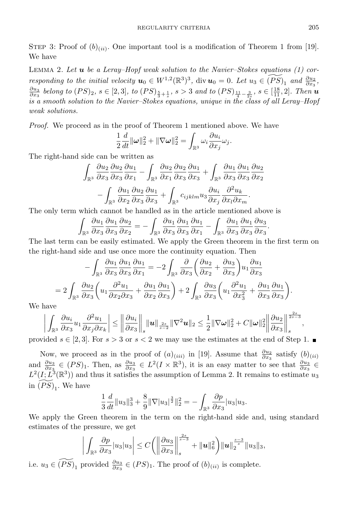STEP 3: Proof of  $(b)_{(ii)}$ . One important tool is a modification of Theorem 1 from [19]. We have

LEMMA 2. Let  $\bf{u}$  be a Leray–Hopf weak solution to the Navier–Stokes equations (1) corresponding to the initial velocity  $u_0 \in W^{1,2}(\mathbb{R}^3)^3$ , div  $u_0 = 0$ . Let  $u_3 \in \widetilde{(PS)}_1$  and  $\frac{\partial u_2}{\partial x_3}$ ,  $\frac{\partial u_3}{\partial x_3}$  belong to  $(PS)_2$ ,  $s \in [2,3]$ , to  $(PS)_{\frac{5}{3}+\frac{1}{s}}$ ,  $s > 3$  and to  $(PS)_{\frac{11}{4}-\frac{3}{2s}}$ ,  $s \in [\frac{18}{11},2]$ . Then  $\bm{u}$ is a smooth solution to the Navier–Stokes equations, unique in the class of all Leray–Hopf weak solutions.

Proof. We proceed as in the proof of Theorem 1 mentioned above. We have

$$
\frac{1}{2}\frac{d}{dt}\|\boldsymbol{\omega}\|_2^2 + \|\nabla \boldsymbol{\omega}\|_2^2 = \int_{\mathbb{R}^3} \omega_i \frac{\partial u_i}{\partial x_j}\omega_j.
$$

The right-hand side can be written as

$$
\int_{\mathbb{R}^3} \frac{\partial u_2}{\partial x_3} \frac{\partial u_2}{\partial x_3} \frac{\partial u_1}{\partial x_1} - \int_{\mathbb{R}^3} \frac{\partial u_2}{\partial x_1} \frac{\partial u_2}{\partial x_3} \frac{\partial u_1}{\partial x_3} + \int_{\mathbb{R}^3} \frac{\partial u_1}{\partial x_3} \frac{\partial u_1}{\partial x_3} \frac{\partial u_2}{\partial x_2} \n- \int_{\mathbb{R}^3} \frac{\partial u_1}{\partial x_2} \frac{\partial u_2}{\partial x_3} \frac{\partial u_1}{\partial x_3} + \int_{\mathbb{R}^3} c_{ijklm} u_3 \frac{\partial u_i}{\partial x_j} \frac{\partial^2 u_k}{\partial x_l \partial x_m}.
$$

The only term which cannot be handled as in the article mentioned above is

$$
\int_{\mathbb{R}^3} \frac{\partial u_1}{\partial x_3} \frac{\partial u_1}{\partial x_3} \frac{\partial u_2}{\partial x_2} = -\int_{\mathbb{R}^3} \frac{\partial u_1}{\partial x_3} \frac{\partial u_1}{\partial x_3} \frac{\partial u_1}{\partial x_1} - \int_{\mathbb{R}^3} \frac{\partial u_1}{\partial x_3} \frac{\partial u_1}{\partial x_3} \frac{\partial u_3}{\partial x_3}.
$$

The last term can be easily estimated. We apply the Green theorem in the first term on the right-hand side and use once more the continuity equation. Then

$$
-\int_{\mathbb{R}^3} \frac{\partial u_1}{\partial x_3} \frac{\partial u_1}{\partial x_3} \frac{\partial u_1}{\partial x_1} = -2 \int_{\mathbb{R}^3} \frac{\partial}{\partial x_3} \left( \frac{\partial u_2}{\partial x_2} + \frac{\partial u_3}{\partial x_3} \right) u_1 \frac{\partial u_1}{\partial x_3}
$$
  
= 
$$
2 \int_{\mathbb{R}^3} \frac{\partial u_2}{\partial x_3} \left( u_1 \frac{\partial^2 u_1}{\partial x_2 \partial x_3} + \frac{\partial u_1}{\partial x_2} \frac{\partial u_1}{\partial x_3} \right) + 2 \int_{\mathbb{R}^3} \frac{\partial u_3}{\partial x_3} \left( u_1 \frac{\partial^2 u_1}{\partial x_3^2} + \frac{\partial u_1}{\partial x_3} \frac{\partial u_1}{\partial x_3} \right).
$$

We have

$$
\left|\int_{\mathbb{R}^3}\frac{\partial u_i}{\partial x_3}u_1\frac{\partial^2 u_1}{\partial x_j\partial x_k}\right|\leq \left\|\frac{\partial u_i}{\partial x_3}\right\|_s\|u\|_{\frac{2s}{s-2}}\|\nabla^2 u\|_2\leq \frac{1}{2}\|\nabla \omega\|_2^2+C\|\omega\|_2^2\left\|\frac{\partial u_2}{\partial x_3}\right\|_s^{\frac{2s}{2s-3}},
$$

provided  $s \in [2,3]$ . For  $s > 3$  or  $s < 2$  we may use the estimates at the end of Step 1.

Now, we proceed as in the proof of  $(a)_{(iii)}$  in [19]. Assume that  $\frac{\partial u_2}{\partial x_3}$  satisfy  $(b)_{(ii)}$ and  $\frac{\partial u_3}{\partial x_3} \in (PS)_1$ . Then, as  $\frac{\partial u_3}{\partial x_3} \in L^2(I \times \mathbb{R}^3)$ , it is an easy matter to see that  $\frac{\partial u_3}{\partial x_3} \in$  $L^2(I; L^3(\mathbb{R}^3))$  and thus it satisfies the assumption of Lemma 2. It remains to estimate  $u_3$ in  $\widetilde{(PS)}_1$ . We have

$$
\frac{1}{3}\frac{d}{dt}\|u_3\|_3^3 + \frac{8}{9}\|\nabla|u_3\|_2^3\|_2^2 = -\int_{\mathbb{R}^3} \frac{\partial p}{\partial x_3}|u_3|u_3.
$$

We apply the Green theorem in the term on the right-hand side and, using standard estimates of the pressure, we get

$$
\bigg|\int_{\mathbb{R}^3}\frac{\partial p}{\partial x_3}|u_3|u_3\bigg|\leq C\bigg(\bigg\|\frac{\partial u_3}{\partial x_3}\bigg\|_{s}^{\frac{2s}{s-3}}+\|u\|_6^2\bigg)\|u\|_2^{\frac{s-3}{s}}\|u_3\|_3,
$$

i.e.  $u_3 \in \widetilde{(PS)}_1$  provided  $\frac{\partial u_3}{\partial x_3} \in (PS)_1$ . The proof of  $(b)_{(ii)}$  is complete.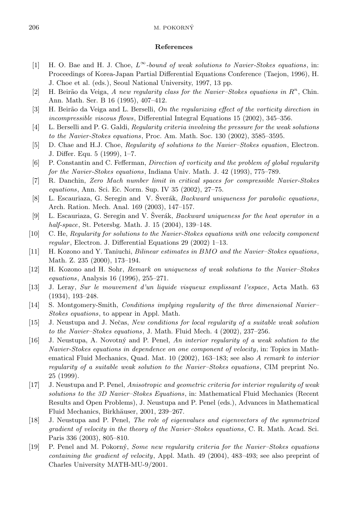## 206 M. POKORNY´

## References

- [1] H. O. Bae and H. J. Choe,  $L^{\infty}$ -bound of weak solutions to Navier-Stokes equations, in: Proceedings of Korea-Japan Partial Differential Equations Conference (Taejon, 1996), H. J. Choe et al. (eds.), Seoul National University, 1997, 13 pp.
- [2] H. Beirão da Veiga, A new regularity class for the Navier-Stokes equations in  $R<sup>n</sup>$ , Chin. Ann. Math. Ser. B 16 (1995), 407–412.
- [3] H. Beirão da Veiga and L. Berselli, On the regularizing effect of the vorticity direction in incompressible viscous flows, Differential Integral Equations 15 (2002), 345–356.
- [4] L. Berselli and P. G. Galdi, Regularity criteria involving the pressure for the weak solutions to the Navier-Stokes equations, Proc. Am. Math. Soc. 130 (2002), 3585–3595.
- [5] D. Chae and H.J. Choe, Regularity of solutions to the Navier–Stokes equation, Electron. J. Differ. Equ. 5 (1999), 1–7.
- [6] P. Constantin and C. Fefferman, Direction of vorticity and the problem of global regularity for the Navier-Stokes equations, Indiana Univ. Math. J. 42 (1993), 775–789.
- [7] R. Danchin, Zero Mach number limit in critical spaces for compressible Navier-Stokes equations, Ann. Sci. Ec. Norm. Sup. IV 35 (2002), 27–75.
- [8] L. Escauriaza, G. Seregin and V. Šverák, *Backward uniqueness for parabolic equations*, Arch. Ration. Mech. Anal. 169 (2003), 147–157.
- [9] L. Escauriaza, G. Seregin and V. Šverák, *Backward uniqueness for the heat operator in a* half-space, St. Petersbg. Math. J. 15 (2004), 139–148.
- [10] C. He, Regularity for solutions to the Navier-Stokes equations with one velocity component regular, Electron. J. Differential Equations 29 (2002) 1–13.
- [11] H. Kozono and Y. Taniuchi, Bilinear estimates in BMO and the Navier–Stokes equations, Math. Z. 235 (2000), 173–194.
- [12] H. Kozono and H. Sohr, Remark on uniqueness of weak solutions to the Navier–Stokes equations, Analysis 16 (1996), 255–271.
- [13] J. Leray, Sur le mouvement d'un liquide visqueux emplissant l'espace, Acta Math. 63 (1934), 193–248.
- [14] S. Montgomery-Smith, Conditions implying regularity of the three dimensional Navier– Stokes equations, to appear in Appl. Math.
- [15] J. Neustupa and J. Nečas, New conditions for local regularity of a suitable weak solution to the Navier–Stokes equations, J. Math. Fluid Mech. 4 (2002), 237–256.
- [16] J. Neustupa, A. Novotn´y and P. Penel, An interior regularity of a weak solution to the Navier-Stokes equations in dependence on one component of velocity, in: Topics in Mathematical Fluid Mechanics, Quad. Mat. 10 (2002), 163–183; see also A remark to interior regularity of a suitable weak solution to the Navier–Stokes equations, CIM preprint No. 25 (1999).
- [17] J. Neustupa and P. Penel, Anisotropic and geometric criteria for interior regularity of weak solutions to the 3D Navier–Stokes Equations, in: Mathematical Fluid Mechanics (Recent Results and Open Problems), J. Neustupa and P. Penel (eds.), Advances in Mathematical Fluid Mechanics, Birkhäuser, 2001, 239-267.
- [18] J. Neustupa and P. Penel, The role of eigenvalues and eigenvectors of the symmetrized gradient of velocity in the theory of the Navier–Stokes equations, C. R. Math. Acad. Sci. Paris 336 (2003), 805–810.
- [19] P. Penel and M. Pokorn´y, Some new regularity criteria for the Navier–Stokes equations containing the gradient of velocity, Appl. Math. 49 (2004), 483–493; see also preprint of Charles University MATH-MU-9/2001.